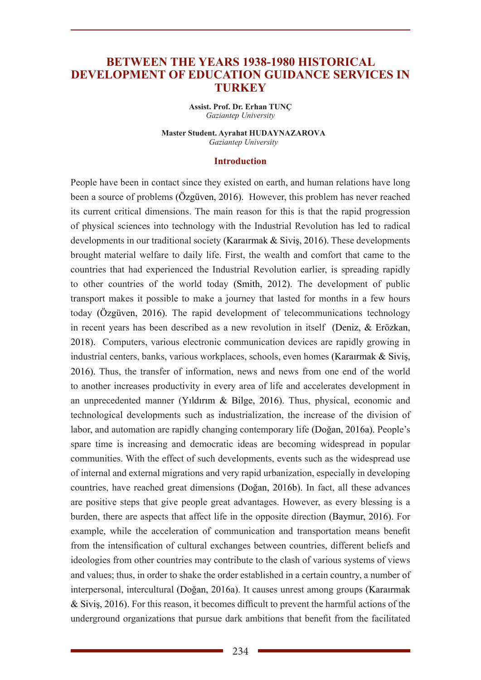# **BETWEEN THE YEARS 1938-1980 HISTORICAL DEVELOPMENT OF EDUCATION GUIDANCE SERVICES IN TURKEY**

**Assist. Prof. Dr. Erhan TUNÇ** *Gaziantep University*

**Master Student. Ayrahat HUDAYNAZAROVA** *Gaziantep University*

#### **Introduction**

People have been in contact since they existed on earth, and human relations have long been a source of problems (Özgüven, 2016). However, this problem has never reached its current critical dimensions. The main reason for this is that the rapid progression of physical sciences into technology with the Industrial Revolution has led to radical developments in our traditional society (Karaırmak & Siviş, 2016). These developments brought material welfare to daily life. First, the wealth and comfort that came to the countries that had experienced the Industrial Revolution earlier, is spreading rapidly to other countries of the world today (Smith, 2012). The development of public transport makes it possible to make a journey that lasted for months in a few hours today (Özgüven, 2016). The rapid development of telecommunications technology in recent years has been described as a new revolution in itself (Deniz, & Erözkan, 2018). Computers, various electronic communication devices are rapidly growing in industrial centers, banks, various workplaces, schools, even homes (Karaırmak & Siviş, 2016). Thus, the transfer of information, news and news from one end of the world to another increases productivity in every area of life and accelerates development in an unprecedented manner (Yıldırım & Bilge, 2016). Thus, physical, economic and technological developments such as industrialization, the increase of the division of labor, and automation are rapidly changing contemporary life (Doğan, 2016a). People's spare time is increasing and democratic ideas are becoming widespread in popular communities. With the effect of such developments, events such as the widespread use of internal and external migrations and very rapid urbanization, especially in developing countries, have reached great dimensions (Doğan, 2016b). In fact, all these advances are positive steps that give people great advantages. However, as every blessing is a burden, there are aspects that affect life in the opposite direction (Baymur, 2016). For example, while the acceleration of communication and transportation means benefit from the intensification of cultural exchanges between countries, different beliefs and ideologies from other countries may contribute to the clash of various systems of views and values; thus, in order to shake the order established in a certain country, a number of interpersonal, intercultural (Doğan, 2016a). It causes unrest among groups (Karaırmak & Siviş, 2016). For this reason, it becomes difficult to prevent the harmful actions of the underground organizations that pursue dark ambitions that benefit from the facilitated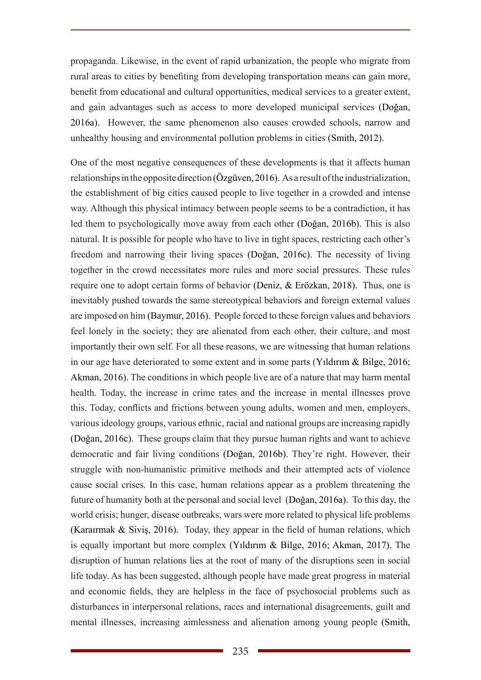propaganda. Likewise, in the event of rapid urbanization, the people who migrate from rural areas to cities by benefiting from developing transportation means can gain more, benefit from educational and cultural opportunities, medical services to a greater extent, and gain advantages such as access to more developed municipal services (Doğan, 2016a). However, the same phenomenon also causes crowded schools, narrow and unhealthy housing and environmental pollution problems in cities (Smith, 2012).

One of the most negative consequences of these developments is that it affects human relationships in the opposite direction (Özgüven, 2016). As a result of the industrialization, the establishment of big cities caused people to live together in a crowded and intense way. Although this physical intimacy between people seems to be a contradiction, it has led them to psychologically move away from each other (Doğan, 2016b). This is also natural. It is possible for people who have to live in tight spaces, restricting each other's freedom and narrowing their living spaces (Doğan, 2016c). The necessity of living together in the crowd necessitates more rules and more social pressures. These rules require one to adopt certain forms of behavior (Deniz, & Erözkan, 2018). Thus, one is inevitably pushed towards the same stereotypical behaviors and foreign external values are imposed on him (Baymur, 2016). People forced to these foreign values and behaviors feel lonely in the society; they are alienated from each other, their culture, and most importantly their own self. For all these reasons, we are witnessing that human relations in our age have deteriorated to some extent and in some parts (Yıldırım & Bilge, 2016; Akman, 2016). The conditions in which people live are of a nature that may harm mental health. Today, the increase in crime rates and the increase in mental illnesses prove this. Today, conflicts and frictions between young adults, women and men, employers, various ideology groups, various ethnic, racial and national groups are increasing rapidly (Doğan, 2016c). These groups claim that they pursue human rights and want to achieve democratic and fair living conditions (Doğan, 2016b). They're right. However, their struggle with non-humanistic primitive methods and their attempted acts of violence cause social crises. In this case, human relations appear as a problem threatening the future of humanity both at the personal and social level (Doğan, 2016a). To this day, the world crisis; hunger, disease outbreaks, wars were more related to physical life problems (Karaırmak & Siviş, 2016). Today, they appear in the field of human relations, which is equally important but more complex (Yıldırım & Bilge, 2016; Akman, 2017). The disruption of human relations lies at the root of many of the disruptions seen in social life today. As has been suggested, although people have made great progress in material and economic fields, they are helpless in the face of psychosocial problems such as disturbances in interpersonal relations, races and international disagreements, guilt and mental illnesses, increasing aimlessness and alienation among young people (Smith,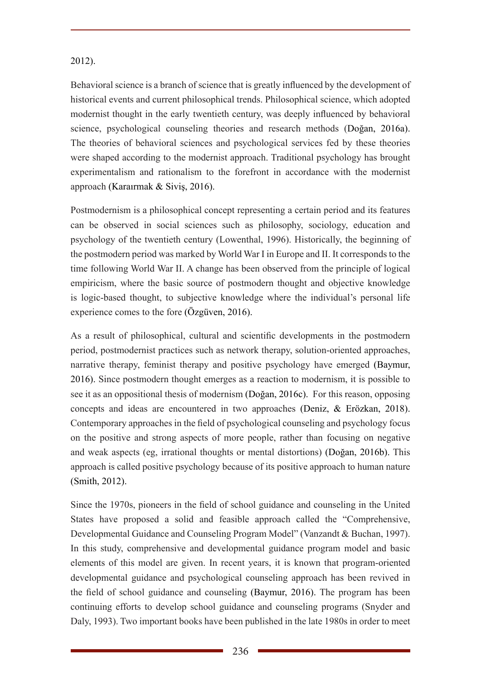# 2012).

Behavioral science is a branch of science that is greatly influenced by the development of historical events and current philosophical trends. Philosophical science, which adopted modernist thought in the early twentieth century, was deeply influenced by behavioral science, psychological counseling theories and research methods (Doğan, 2016a). The theories of behavioral sciences and psychological services fed by these theories were shaped according to the modernist approach. Traditional psychology has brought experimentalism and rationalism to the forefront in accordance with the modernist approach (Karaırmak & Siviş, 2016).

Postmodernism is a philosophical concept representing a certain period and its features can be observed in social sciences such as philosophy, sociology, education and psychology of the twentieth century (Lowenthal, 1996). Historically, the beginning of the postmodern period was marked by World War I in Europe and II. It corresponds to the time following World War II. A change has been observed from the principle of logical empiricism, where the basic source of postmodern thought and objective knowledge is logic-based thought, to subjective knowledge where the individual's personal life experience comes to the fore (Özgüven, 2016).

As a result of philosophical, cultural and scientific developments in the postmodern period, postmodernist practices such as network therapy, solution-oriented approaches, narrative therapy, feminist therapy and positive psychology have emerged (Baymur, 2016). Since postmodern thought emerges as a reaction to modernism, it is possible to see it as an oppositional thesis of modernism (Doğan, 2016c). For this reason, opposing concepts and ideas are encountered in two approaches (Deniz, & Erözkan, 2018). Contemporary approaches in the field of psychological counseling and psychology focus on the positive and strong aspects of more people, rather than focusing on negative and weak aspects (eg, irrational thoughts or mental distortions) (Doğan, 2016b). This approach is called positive psychology because of its positive approach to human nature (Smith, 2012).

Since the 1970s, pioneers in the field of school guidance and counseling in the United States have proposed a solid and feasible approach called the "Comprehensive, Developmental Guidance and Counseling Program Model" (Vanzandt & Buchan, 1997). In this study, comprehensive and developmental guidance program model and basic elements of this model are given. In recent years, it is known that program-oriented developmental guidance and psychological counseling approach has been revived in the field of school guidance and counseling (Baymur, 2016). The program has been continuing efforts to develop school guidance and counseling programs (Snyder and Daly, 1993). Two important books have been published in the late 1980s in order to meet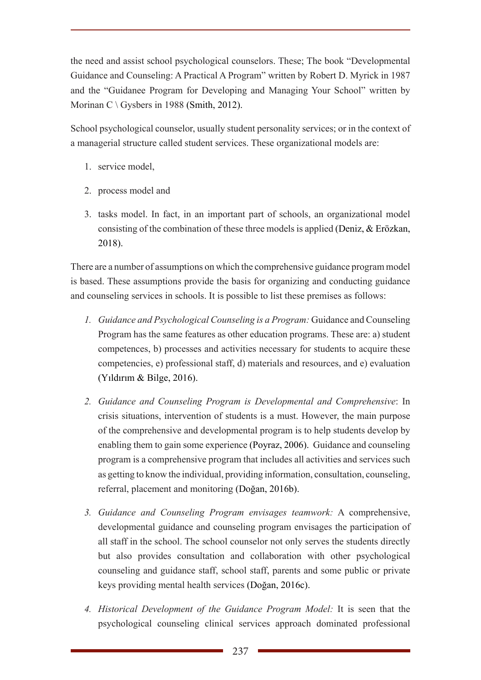the need and assist school psychological counselors. These; The book "Developmental Guidance and Counseling: A Practical A Program" written by Robert D. Myrick in 1987 and the "Guidanee Program for Developing and Managing Your School" written by Morinan C \ Gysbers in 1988 (Smith, 2012).

School psychological counselor, usually student personality services; or in the context of a managerial structure called student services. These organizational models are:

- 1. service model,
- 2. process model and
- 3. tasks model. In fact, in an important part of schools, an organizational model consisting of the combination of these three models is applied (Deniz, & Erözkan, 2018).

There are a number of assumptions on which the comprehensive guidance program model is based. These assumptions provide the basis for organizing and conducting guidance and counseling services in schools. It is possible to list these premises as follows:

- *1. Guidance and Psychological Counseling is a Program:* Guidance and Counseling Program has the same features as other education programs. These are: a) student competences, b) processes and activities necessary for students to acquire these competencies, e) professional staff, d) materials and resources, and e) evaluation (Yıldırım & Bilge, 2016).
- *2. Guidance and Counseling Program is Developmental and Comprehensive*: In crisis situations, intervention of students is a must. However, the main purpose of the comprehensive and developmental program is to help students develop by enabling them to gain some experience (Poyraz, 2006). Guidance and counseling program is a comprehensive program that includes all activities and services such as getting to know the individual, providing information, consultation, counseling, referral, placement and monitoring (Doğan, 2016b).
- *3. Guidance and Counseling Program envisages teamwork:* A comprehensive, developmental guidance and counseling program envisages the participation of all staff in the school. The school counselor not only serves the students directly but also provides consultation and collaboration with other psychological counseling and guidance staff, school staff, parents and some public or private keys providing mental health services (Doğan, 2016c).
- *4. Historical Development of the Guidance Program Model:* It is seen that the psychological counseling clinical services approach dominated professional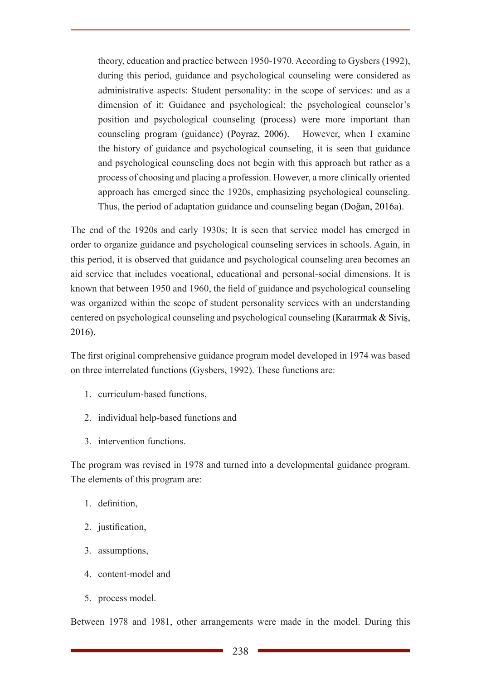theory, education and practice between 1950-1970. According to Gysbers (1992), during this period, guidance and psychological counseling were considered as administrative aspects: Student personality: in the scope of services: and as a dimension of it: Guidance and psychological: the psychological counselor's position and psychological counseling (process) were more important than counseling program (guidance) (Poyraz, 2006). However, when I examine the history of guidance and psychological counseling, it is seen that guidance and psychological counseling does not begin with this approach but rather as a process of choosing and placing a profession. However, a more clinically oriented approach has emerged since the 1920s, emphasizing psychological counseling. Thus, the period of adaptation guidance and counseling began (Doğan, 2016a).

The end of the 1920s and early 1930s; It is seen that service model has emerged in order to organize guidance and psychological counseling services in schools. Again, in this period, it is observed that guidance and psychological counseling area becomes an aid service that includes vocational, educational and personal-social dimensions. It is known that between 1950 and 1960, the field of guidance and psychological counseling was organized within the scope of student personality services with an understanding centered on psychological counseling and psychological counseling (Karaırmak & Siviş, 2016).

The first original comprehensive guidance program model developed in 1974 was based on three interrelated functions (Gysbers, 1992). These functions are:

- 1. curriculum-based functions,
- 2. individual help-based functions and
- 3. intervention functions.

The program was revised in 1978 and turned into a developmental guidance program. The elements of this program are:

- 1. definition,
- 2. justification,
- 3. assumptions,
- 4. content-model and
- 5. process model.

Between 1978 and 1981, other arrangements were made in the model. During this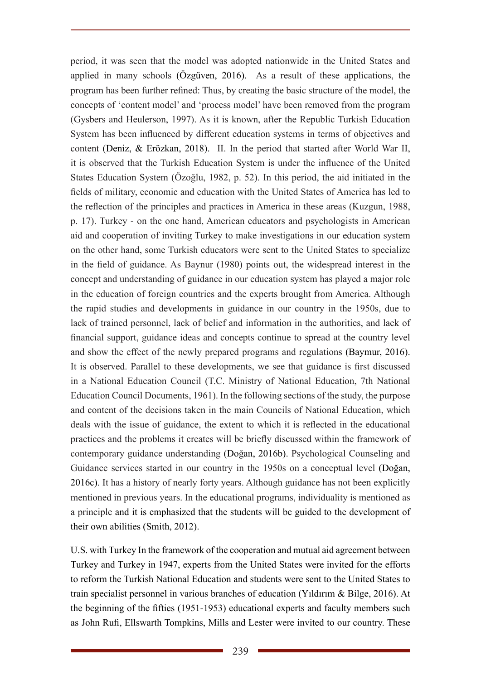period, it was seen that the model was adopted nationwide in the United States and applied in many schools (Özgüven, 2016). As a result of these applications, the program has been further refined: Thus, by creating the basic structure of the model, the concepts of 'content model' and 'process model' have been removed from the program (Gysbers and Heulerson, 1997). As it is known, after the Republic Turkish Education System has been influenced by different education systems in terms of objectives and content (Deniz, & Erözkan, 2018). II. In the period that started after World War II, it is observed that the Turkish Education System is under the influence of the United States Education System (Özoğlu, 1982, p. 52). In this period, the aid initiated in the fields of military, economic and education with the United States of America has led to the reflection of the principles and practices in America in these areas (Kuzgun, 1988, p. 17). Turkey - on the one hand, American educators and psychologists in American aid and cooperation of inviting Turkey to make investigations in our education system on the other hand, some Turkish educators were sent to the United States to specialize in the field of guidance. As Baynur (1980) points out, the widespread interest in the concept and understanding of guidance in our education system has played a major role in the education of foreign countries and the experts brought from America. Although the rapid studies and developments in guidance in our country in the 1950s, due to lack of trained personnel, lack of belief and information in the authorities, and lack of financial support, guidance ideas and concepts continue to spread at the country level and show the effect of the newly prepared programs and regulations (Baymur, 2016). It is observed. Parallel to these developments, we see that guidance is first discussed in a National Education Council (T.C. Ministry of National Education, 7th National Education Council Documents, 1961). In the following sections of the study, the purpose and content of the decisions taken in the main Councils of National Education, which deals with the issue of guidance, the extent to which it is reflected in the educational practices and the problems it creates will be briefly discussed within the framework of contemporary guidance understanding (Doğan, 2016b). Psychological Counseling and Guidance services started in our country in the 1950s on a conceptual level (Doğan, 2016c). It has a history of nearly forty years. Although guidance has not been explicitly mentioned in previous years. In the educational programs, individuality is mentioned as a principle and it is emphasized that the students will be guided to the development of their own abilities (Smith, 2012).

U.S. with Turkey In the framework of the cooperation and mutual aid agreement between Turkey and Turkey in 1947, experts from the United States were invited for the efforts to reform the Turkish National Education and students were sent to the United States to train specialist personnel in various branches of education (Yıldırım & Bilge, 2016). At the beginning of the fifties (1951-1953) educational experts and faculty members such as John Rufi, Ellswarth Tompkins, Mills and Lester were invited to our country. These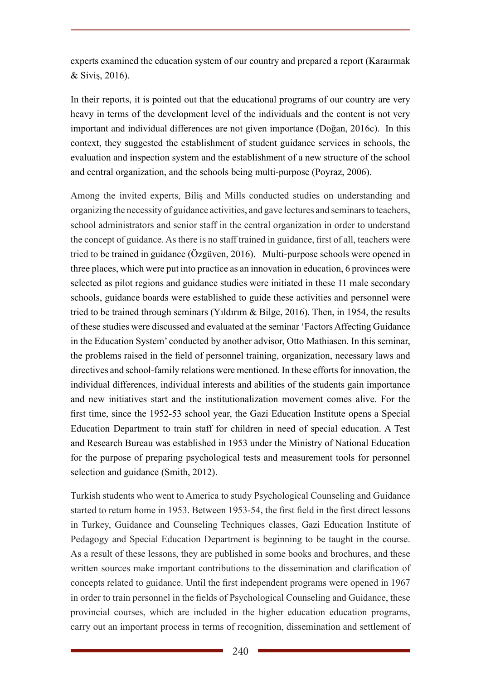experts examined the education system of our country and prepared a report (Karaırmak & Siviş, 2016).

In their reports, it is pointed out that the educational programs of our country are very heavy in terms of the development level of the individuals and the content is not very important and individual differences are not given importance (Doğan, 2016c). In this context, they suggested the establishment of student guidance services in schools, the evaluation and inspection system and the establishment of a new structure of the school and central organization, and the schools being multi-purpose (Poyraz, 2006).

Among the invited experts, Biliş and Mills conducted studies on understanding and organizing the necessity of guidance activities, and gave lectures and seminars to teachers, school administrators and senior staff in the central organization in order to understand the concept of guidance. As there is no staff trained in guidance, first of all, teachers were tried to be trained in guidance (Özgüven, 2016). Multi-purpose schools were opened in three places, which were put into practice as an innovation in education, 6 provinces were selected as pilot regions and guidance studies were initiated in these 11 male secondary schools, guidance boards were established to guide these activities and personnel were tried to be trained through seminars (Yıldırım & Bilge, 2016). Then, in 1954, the results of these studies were discussed and evaluated at the seminar 'Factors Affecting Guidance in the Education System' conducted by another advisor, Otto Mathiasen. In this seminar, the problems raised in the field of personnel training, organization, necessary laws and directives and school-family relations were mentioned. In these efforts for innovation, the individual differences, individual interests and abilities of the students gain importance and new initiatives start and the institutionalization movement comes alive. For the first time, since the 1952-53 school year, the Gazi Education Institute opens a Special Education Department to train staff for children in need of special education. A Test and Research Bureau was established in 1953 under the Ministry of National Education for the purpose of preparing psychological tests and measurement tools for personnel selection and guidance (Smith, 2012).

Turkish students who went to America to study Psychological Counseling and Guidance started to return home in 1953. Between 1953-54, the first field in the first direct lessons in Turkey, Guidance and Counseling Techniques classes, Gazi Education Institute of Pedagogy and Special Education Department is beginning to be taught in the course. As a result of these lessons, they are published in some books and brochures, and these written sources make important contributions to the dissemination and clarification of concepts related to guidance. Until the first independent programs were opened in 1967 in order to train personnel in the fields of Psychological Counseling and Guidance, these provincial courses, which are included in the higher education education programs, carry out an important process in terms of recognition, dissemination and settlement of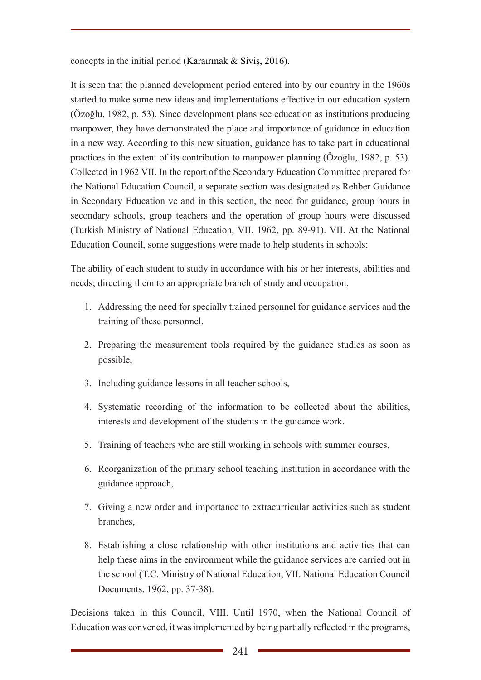concepts in the initial period (Karaırmak & Siviş, 2016).

It is seen that the planned development period entered into by our country in the 1960s started to make some new ideas and implementations effective in our education system (Özoğlu, 1982, p. 53). Since development plans see education as institutions producing manpower, they have demonstrated the place and importance of guidance in education in a new way. According to this new situation, guidance has to take part in educational practices in the extent of its contribution to manpower planning (Özoğlu, 1982, p. 53). Collected in 1962 VII. In the report of the Secondary Education Committee prepared for the National Education Council, a separate section was designated as Rehber Guidance in Secondary Education ve and in this section, the need for guidance, group hours in secondary schools, group teachers and the operation of group hours were discussed (Turkish Ministry of National Education, VII. 1962, pp. 89-91). VII. At the National Education Council, some suggestions were made to help students in schools:

The ability of each student to study in accordance with his or her interests, abilities and needs; directing them to an appropriate branch of study and occupation,

- 1. Addressing the need for specially trained personnel for guidance services and the training of these personnel,
- 2. Preparing the measurement tools required by the guidance studies as soon as possible,
- 3. Including guidance lessons in all teacher schools,
- 4. Systematic recording of the information to be collected about the abilities, interests and development of the students in the guidance work.
- 5. Training of teachers who are still working in schools with summer courses,
- 6. Reorganization of the primary school teaching institution in accordance with the guidance approach,
- 7. Giving a new order and importance to extracurricular activities such as student branches,
- 8. Establishing a close relationship with other institutions and activities that can help these aims in the environment while the guidance services are carried out in the school (T.C. Ministry of National Education, VII. National Education Council Documents, 1962, pp. 37-38).

Decisions taken in this Council, VIII. Until 1970, when the National Council of Education was convened, it was implemented by being partially reflected in the programs,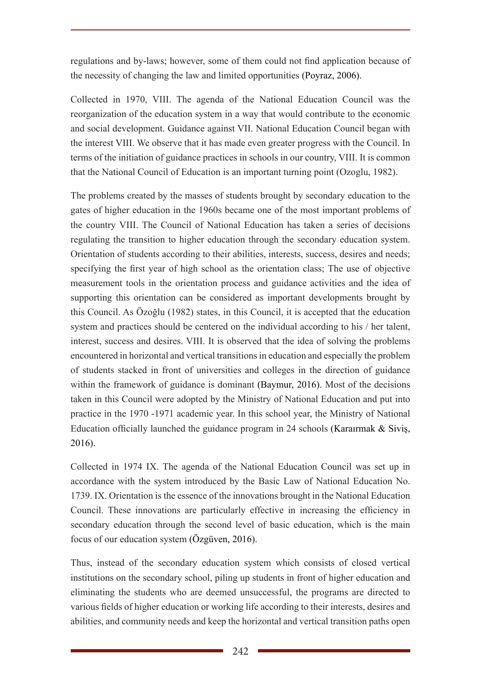regulations and by-laws; however, some of them could not find application because of the necessity of changing the law and limited opportunities (Poyraz, 2006).

Collected in 1970, VIII. The agenda of the National Education Council was the reorganization of the education system in a way that would contribute to the economic and social development. Guidance against VII. National Education Council began with the interest VIII. We observe that it has made even greater progress with the Council. In terms of the initiation of guidance practices in schools in our country, VIII. It is common that the National Council of Education is an important turning point (Ozoglu, 1982).

The problems created by the masses of students brought by secondary education to the gates of higher education in the 1960s became one of the most important problems of the country VIII. The Council of National Education has taken a series of decisions regulating the transition to higher education through the secondary education system. Orientation of students according to their abilities, interests, success, desires and needs; specifying the first year of high school as the orientation class; The use of objective measurement tools in the orientation process and guidance activities and the idea of supporting this orientation can be considered as important developments brought by this Council. As Özoğlu (1982) states, in this Council, it is accepted that the education system and practices should be centered on the individual according to his / her talent, interest, success and desires. VIII. It is observed that the idea of solving the problems encountered in horizontal and vertical transitions in education and especially the problem of students stacked in front of universities and colleges in the direction of guidance within the framework of guidance is dominant (Baymur, 2016). Most of the decisions taken in this Council were adopted by the Ministry of National Education and put into practice in the 1970 -1971 academic year. In this school year, the Ministry of National Education officially launched the guidance program in 24 schools (Karaırmak & Siviş, 2016).

Collected in 1974 IX. The agenda of the National Education Council was set up in accordance with the system introduced by the Basic Law of National Education No. 1739. IX. Orientation is the essence of the innovations brought in the National Education Council. These innovations are particularly effective in increasing the efficiency in secondary education through the second level of basic education, which is the main focus of our education system (Özgüven, 2016).

Thus, instead of the secondary education system which consists of closed vertical institutions on the secondary school, piling up students in front of higher education and eliminating the students who are deemed unsuccessful, the programs are directed to various fields of higher education or working life according to their interests, desires and abilities, and community needs and keep the horizontal and vertical transition paths open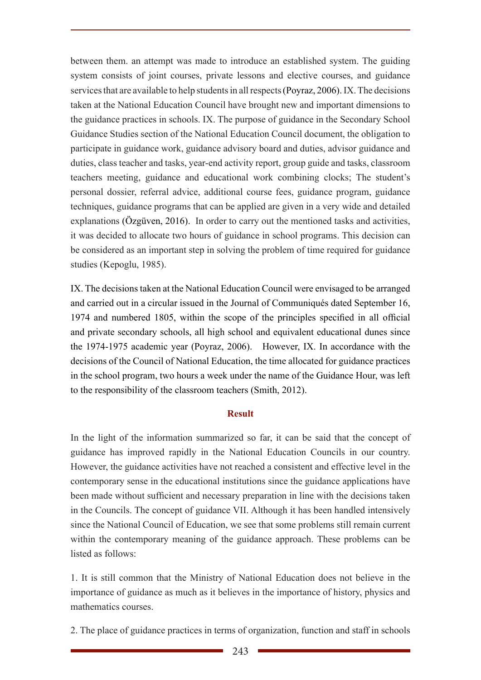between them. an attempt was made to introduce an established system. The guiding system consists of joint courses, private lessons and elective courses, and guidance services that are available to help students in all respects (Poyraz, 2006). IX. The decisions taken at the National Education Council have brought new and important dimensions to the guidance practices in schools. IX. The purpose of guidance in the Secondary School Guidance Studies section of the National Education Council document, the obligation to participate in guidance work, guidance advisory board and duties, advisor guidance and duties, class teacher and tasks, year-end activity report, group guide and tasks, classroom teachers meeting, guidance and educational work combining clocks; The student's personal dossier, referral advice, additional course fees, guidance program, guidance techniques, guidance programs that can be applied are given in a very wide and detailed explanations (Özgüven, 2016). In order to carry out the mentioned tasks and activities, it was decided to allocate two hours of guidance in school programs. This decision can be considered as an important step in solving the problem of time required for guidance studies (Kepoglu, 1985).

IX. The decisions taken at the National Education Council were envisaged to be arranged and carried out in a circular issued in the Journal of Communiqués dated September 16, 1974 and numbered 1805, within the scope of the principles specified in all official and private secondary schools, all high school and equivalent educational dunes since the 1974-1975 academic year (Poyraz, 2006). However, IX. In accordance with the decisions of the Council of National Education, the time allocated for guidance practices in the school program, two hours a week under the name of the Guidance Hour, was left to the responsibility of the classroom teachers (Smith, 2012).

### **Result**

In the light of the information summarized so far, it can be said that the concept of guidance has improved rapidly in the National Education Councils in our country. However, the guidance activities have not reached a consistent and effective level in the contemporary sense in the educational institutions since the guidance applications have been made without sufficient and necessary preparation in line with the decisions taken in the Councils. The concept of guidance VII. Although it has been handled intensively since the National Council of Education, we see that some problems still remain current within the contemporary meaning of the guidance approach. These problems can be listed as follows:

1. It is still common that the Ministry of National Education does not believe in the importance of guidance as much as it believes in the importance of history, physics and mathematics courses.

2. The place of guidance practices in terms of organization, function and staff in schools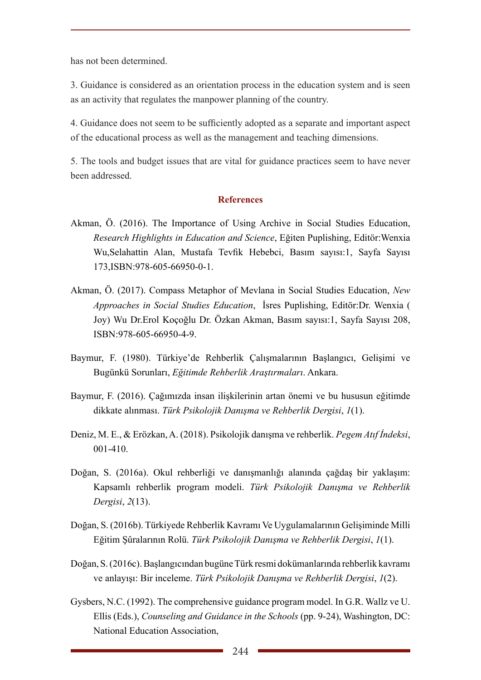has not been determined.

3. Guidance is considered as an orientation process in the education system and is seen as an activity that regulates the manpower planning of the country.

4. Guidance does not seem to be sufficiently adopted as a separate and important aspect of the educational process as well as the management and teaching dimensions.

5. The tools and budget issues that are vital for guidance practices seem to have never been addressed.

#### **References**

- Akman, Ö. (2016). The Importance of Using Archive in Social Studies Education, *Research Highlights in Education and Science*, Eğiten Puplishing, Editör:Wenxia Wu,Selahattin Alan, Mustafa Tevfik Hebebci, Basım sayısı:1, Sayfa Sayısı 173,ISBN:978-605-66950-0-1.
- Akman, Ö. (2017). Compass Metaphor of Mevlana in Social Studies Education, *New Approaches in Social Studies Education*, İsres Puplishing, Editör:Dr. Wenxia ( Joy) Wu Dr.Erol Koçoğlu Dr. Özkan Akman, Basım sayısı:1, Sayfa Sayısı 208, ISBN:978-605-66950-4-9.
- Baymur, F. (1980). Türkiye'de Rehberlik Çalışmalarının Başlangıcı, Gelişimi ve Bugünkü Sorunları, *Eğitimde Rehberlik Araştırmaları*. Ankara.
- Baymur, F. (2016). Çağımızda insan ilişkilerinin artan önemi ve bu hususun eğitimde dikkate alınması. *Türk Psikolojik Danışma ve Rehberlik Dergisi*, *1*(1).
- Deniz, M. E., & Erözkan, A. (2018). Psikolojik danışma ve rehberlik. *Pegem Atıf İndeksi*, 001-410.
- Doğan, S. (2016a). Okul rehberliği ve danışmanlığı alanında çağdaş bir yaklaşım: Kapsamlı rehberlik program modeli. *Türk Psikolojik Danışma ve Rehberlik Dergisi*, *2*(13).
- Doğan, S. (2016b). Türkiyede Rehberlik Kavramı Ve Uygulamalarının Gelişiminde Milli Eğitim Şûralarının Rolü. *Türk Psikolojik Danışma ve Rehberlik Dergisi*, *1*(1).
- Doğan, S. (2016c). Başlangıcından bugüne Türk resmi dokümanlarında rehberlik kavramı ve anlayışı: Bir inceleme. *Türk Psikolojik Danışma ve Rehberlik Dergisi*, *1*(2).
- Gysbers, N.C. (1992). The comprehensive guidance program model. In G.R. Wallz ve U. Ellis (Eds.), *Counseling and Guidance in the Schools* (pp. 9-24), Washington, DC: National Education Association,